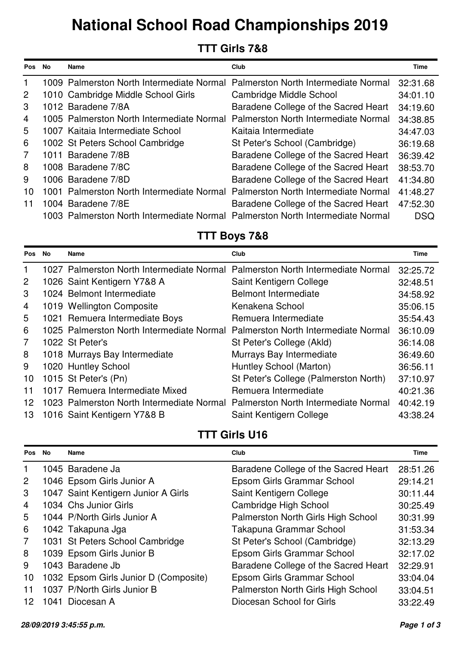# **National School Road Championships 2019**

## **TTT Girls 7&8**

| <b>Pos</b>     | <b>No</b> | <b>Name</b>                                                                    | Club                                                                           | <b>Time</b> |
|----------------|-----------|--------------------------------------------------------------------------------|--------------------------------------------------------------------------------|-------------|
|                |           |                                                                                | 1009 Palmerston North Intermediate Normal Palmerston North Intermediate Normal | 32:31.68    |
| $\overline{2}$ |           | 1010 Cambridge Middle School Girls                                             | Cambridge Middle School                                                        | 34:01.10    |
| 3              |           | 1012 Baradene 7/8A                                                             | Baradene College of the Sacred Heart                                           | 34:19.60    |
| $\overline{4}$ |           | 1005 Palmerston North Intermediate Normal                                      | Palmerston North Intermediate Normal                                           | 34:38.85    |
| 5              |           | 1007 Kaitaia Intermediate School                                               | Kaitaia Intermediate                                                           | 34:47.03    |
| 6              |           | 1002 St Peters School Cambridge                                                | St Peter's School (Cambridge)                                                  | 36:19.68    |
| $\overline{7}$ |           | 1011 Baradene 7/8B                                                             | Baradene College of the Sacred Heart                                           | 36:39.42    |
| 8              |           | 1008 Baradene 7/8C                                                             | Baradene College of the Sacred Heart                                           | 38:53.70    |
| 9              |           | 1006 Baradene 7/8D                                                             | Baradene College of the Sacred Heart                                           | 41:34.80    |
| 10             |           | 1001 Palmerston North Intermediate Normal Palmerston North Intermediate Normal |                                                                                | 41:48.27    |
| 11             |           | 1004 Baradene 7/8E                                                             | Baradene College of the Sacred Heart                                           | 47:52.30    |
|                |           | 1003 Palmerston North Intermediate Normal Palmerston North Intermediate Normal |                                                                                | <b>DSQ</b>  |

## **TTT Boys 7&8**

| <b>Pos</b>     | No | Name                                                                           | Club                                  | Time     |
|----------------|----|--------------------------------------------------------------------------------|---------------------------------------|----------|
| 1              |    | 1027 Palmerston North Intermediate Normal Palmerston North Intermediate Normal |                                       | 32:25.72 |
| $\overline{2}$ |    | 1026 Saint Kentigern Y7&8 A                                                    | Saint Kentigern College               | 32:48.51 |
| 3              |    | 1024 Belmont Intermediate                                                      | <b>Belmont Intermediate</b>           | 34:58.92 |
| 4              |    | 1019 Wellington Composite                                                      | Kenakena School                       | 35:06.15 |
| 5              |    | 1021 Remuera Intermediate Boys                                                 | Remuera Intermediate                  | 35:54.43 |
| 6              |    | 1025 Palmerston North Intermediate Normal                                      | Palmerston North Intermediate Normal  | 36:10.09 |
| $\overline{7}$ |    | 1022 St Peter's                                                                | St Peter's College (Akld)             | 36:14.08 |
| 8              |    | 1018 Murrays Bay Intermediate                                                  | Murrays Bay Intermediate              | 36:49.60 |
| 9              |    | 1020 Huntley School                                                            | Huntley School (Marton)               | 36:56.11 |
| 10             |    | 1015 St Peter's (Pn)                                                           | St Peter's College (Palmerston North) | 37:10.97 |
| 11             |    | 1017 Remuera Intermediate Mixed                                                | Remuera Intermediate                  | 40:21.36 |
| 12             |    | 1023 Palmerston North Intermediate Normal                                      | Palmerston North Intermediate Normal  | 40:42.19 |
| 13             |    | 1016 Saint Kentigern Y7&8 B                                                    | Saint Kentigern College               | 43:38.24 |

## **TTT Girls U16**

| <b>Pos</b>     | No | Name                                  | Club                                 | Time     |
|----------------|----|---------------------------------------|--------------------------------------|----------|
| 1              |    | 1045 Baradene Ja                      | Baradene College of the Sacred Heart | 28:51.26 |
| $\overline{2}$ |    | 1046 Epsom Girls Junior A             | Epsom Girls Grammar School           | 29:14.21 |
| 3              |    | 1047 Saint Kentigern Junior A Girls   | Saint Kentigern College              | 30:11.44 |
| $\overline{4}$ |    | 1034 Chs Junior Girls                 | Cambridge High School                | 30:25.49 |
| 5              |    | 1044 P/North Girls Junior A           | Palmerston North Girls High School   | 30:31.99 |
| 6              |    | 1042 Takapuna Jga                     | Takapuna Grammar School              | 31:53.34 |
| $\overline{7}$ |    | 1031 St Peters School Cambridge       | St Peter's School (Cambridge)        | 32:13.29 |
| 8              |    | 1039 Epsom Girls Junior B             | Epsom Girls Grammar School           | 32:17.02 |
| 9              |    | 1043 Baradene Jb                      | Baradene College of the Sacred Heart | 32:29.91 |
| 10             |    | 1032 Epsom Girls Junior D (Composite) | Epsom Girls Grammar School           | 33:04.04 |
| 11             |    | 1037 P/North Girls Junior B           | Palmerston North Girls High School   | 33:04.51 |
| 12.            |    | 1041 Diocesan A                       | Diocesan School for Girls            | 33:22.49 |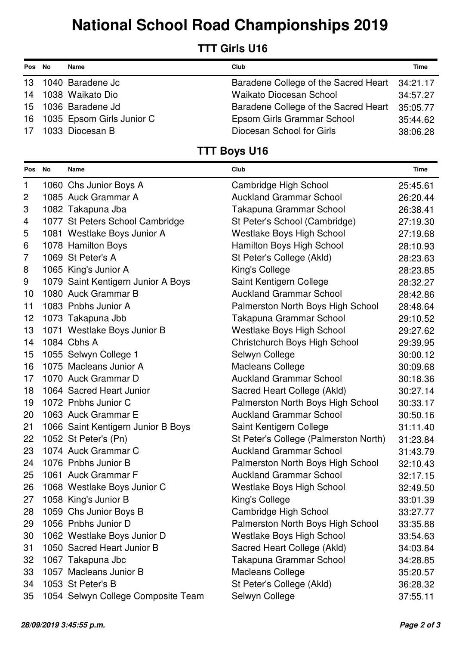## **National School Road Championships 2019**

#### **TTT Girls U16**

| Pos No | Name                         | Club                                          | <b>Time</b> |
|--------|------------------------------|-----------------------------------------------|-------------|
|        | 13 1040 Baradene Jc          | Baradene College of the Sacred Heart 34:21.17 |             |
|        | 14 1038 Waikato Dio          | <b>Waikato Diocesan School</b>                | 34:57.27    |
|        | 15 1036 Baradene Jd          | Baradene College of the Sacred Heart          | 35:05.77    |
|        | 16 1035 Epsom Girls Junior C | Epsom Girls Grammar School                    | 35:44.62    |
|        | 17 1033 Diocesan B           | Diocesan School for Girls                     | 38:06.28    |

#### **TTT Boys U16**

| Pos No         | Name                               | Club                                  | Time     |
|----------------|------------------------------------|---------------------------------------|----------|
| 1              | 1060 Chs Junior Boys A             | Cambridge High School                 | 25:45.61 |
| $\overline{c}$ | 1085 Auck Grammar A                | <b>Auckland Grammar School</b>        | 26:20.44 |
| 3              | 1082 Takapuna Jba                  | Takapuna Grammar School               | 26:38.41 |
| 4              | 1077 St Peters School Cambridge    | St Peter's School (Cambridge)         | 27:19.30 |
| 5              | 1081 Westlake Boys Junior A        | <b>Westlake Boys High School</b>      | 27:19.68 |
| 6              | 1078 Hamilton Boys                 | Hamilton Boys High School             | 28:10.93 |
| $\overline{7}$ | 1069 St Peter's A                  | St Peter's College (Akld)             | 28:23.63 |
| 8              | 1065 King's Junior A               | King's College                        | 28:23.85 |
| 9              | 1079 Saint Kentigern Junior A Boys | Saint Kentigern College               | 28:32.27 |
| 10             | 1080 Auck Grammar B                | <b>Auckland Grammar School</b>        | 28:42.86 |
| 11             | 1083 Pnbhs Junior A                | Palmerston North Boys High School     | 28:48.64 |
| 12             | 1073 Takapuna Jbb                  | Takapuna Grammar School               | 29:10.52 |
| 13             | 1071 Westlake Boys Junior B        | <b>Westlake Boys High School</b>      | 29:27.62 |
| 14             | 1084 Cbhs A                        | Christchurch Boys High School         | 29:39.95 |
| 15             | 1055 Selwyn College 1              | Selwyn College                        | 30:00.12 |
| 16             | 1075 Macleans Junior A             | <b>Macleans College</b>               | 30:09.68 |
| 17             | 1070 Auck Grammar D                | <b>Auckland Grammar School</b>        | 30:18.36 |
| 18             | 1064 Sacred Heart Junior           | Sacred Heart College (Akld)           | 30:27.14 |
| 19             | 1072 Pnbhs Junior C                | Palmerston North Boys High School     | 30:33.17 |
| 20             | 1063 Auck Grammar E                | <b>Auckland Grammar School</b>        | 30:50.16 |
| 21             | 1066 Saint Kentigern Junior B Boys | Saint Kentigern College               | 31:11.40 |
| 22             | 1052 St Peter's (Pn)               | St Peter's College (Palmerston North) | 31:23.84 |
| 23             | 1074 Auck Grammar C                | <b>Auckland Grammar School</b>        | 31:43.79 |
| 24             | 1076 Pnbhs Junior B                | Palmerston North Boys High School     | 32:10.43 |
| 25             | 1061 Auck Grammar F                | <b>Auckland Grammar School</b>        | 32:17.15 |
| 26             | 1068 Westlake Boys Junior C        | <b>Westlake Boys High School</b>      | 32:49.50 |
| 27             | 1058 King's Junior B               | King's College                        | 33:01.39 |
| 28             | 1059 Chs Junior Boys B             | Cambridge High School                 | 33:27.77 |
| 29             | 1056 Pnbhs Junior D                | Palmerston North Boys High School     | 33:35.88 |
| 30             | 1062 Westlake Boys Junior D        | <b>Westlake Boys High School</b>      | 33:54.63 |
| 31             | 1050 Sacred Heart Junior B         | Sacred Heart College (Akld)           | 34:03.84 |
| 32             | 1067 Takapuna Jbc                  | Takapuna Grammar School               | 34:28.85 |
| 33             | 1057 Macleans Junior B             | <b>Macleans College</b>               | 35:20.57 |
| 34             | 1053 St Peter's B                  | St Peter's College (Akld)             | 36:28.32 |
| 35             | 1054 Selwyn College Composite Team | Selwyn College                        | 37:55.11 |